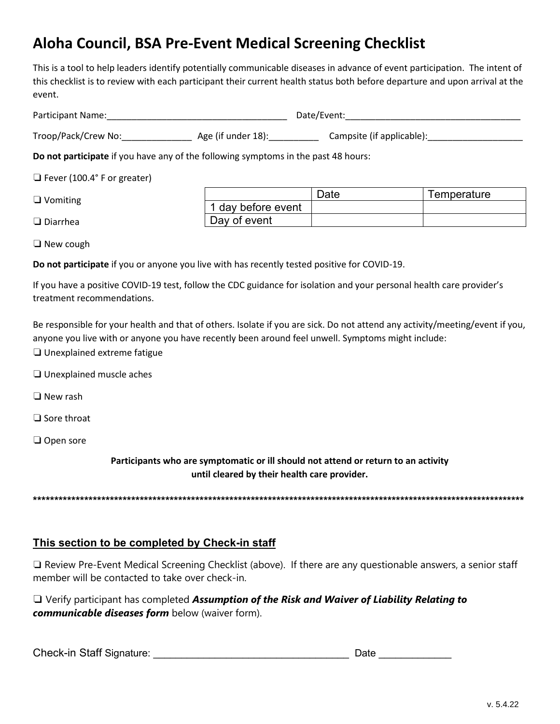## Aloha Council, BSA Pre-Event Medical Screening Checklist

This is a tool to help leaders identify potentially communicable diseases in advance of event participation. The intent of this checklist is to review with each participant their current health status both before departure and upon arrival at the event.

| <b>Participant Name:</b> | Date/Fyent |
|--------------------------|------------|
|                          |            |

Troop/Pack/Crew No: Age (if under 18): Campsite (if applicable):

Do not participate if you have any of the following symptoms in the past 48 hours:

 $\Box$  Fever (100.4° F or greater)

|  | $\Box$ Vomiting |  |
|--|-----------------|--|
|--|-----------------|--|

|                    | Femperature |
|--------------------|-------------|
| 1 day before event |             |
| Day of event       |             |

 $\Box$  New cough

 $\Box$  Diarrhea

Do not participate if you or anyone you live with has recently tested positive for COVID-19.

If you have a positive COVID-19 test, follow the CDC guidance for isolation and your personal health care provider's treatment recommendations.

Be responsible for your health and that of others. Isolate if you are sick. Do not attend any activity/meeting/event if you, anyone you live with or anyone you have recently been around feel unwell. Symptoms might include:

- $\Box$  Unexplained extreme fatigue
- $\Box$  Unexplained muscle aches
- $\Box$  New rash
- $\Box$  Sore throat
- $\Box$  Open sore

Participants who are symptomatic or ill should not attend or return to an activity until cleared by their health care provider.

## This section to be completed by Check-in staff

 $\Box$  Review Pre-Event Medical Screening Checklist (above). If there are any questionable answers, a senior staff member will be contacted to take over check-in.

 $\Box$  Verify participant has completed Assumption of the Risk and Waiver of Liability Relating to communicable diseases form below (waiver form).

Check-in Staff Signature: Check-in Staff Signature: